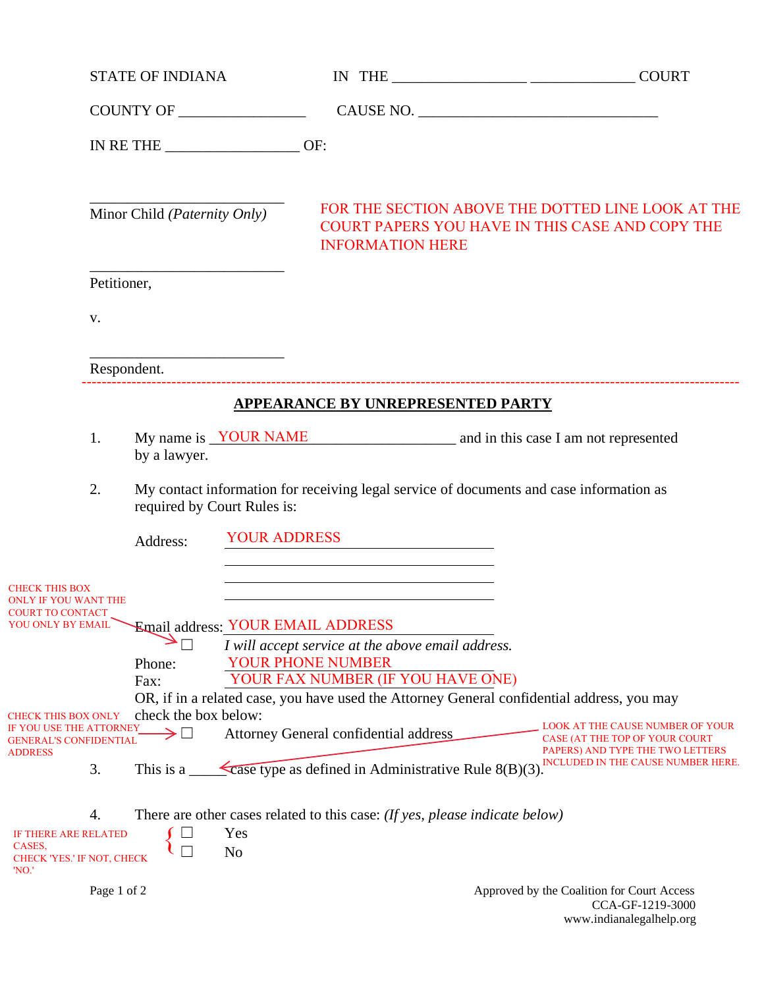|                                                                                |             | <b>STATE OF INDIANA</b>               |                     |                                                                                                                      | IN THE $\_\_$                                                                                            |
|--------------------------------------------------------------------------------|-------------|---------------------------------------|---------------------|----------------------------------------------------------------------------------------------------------------------|----------------------------------------------------------------------------------------------------------|
|                                                                                |             |                                       |                     |                                                                                                                      |                                                                                                          |
|                                                                                |             | IN RETHE OF:                          |                     |                                                                                                                      |                                                                                                          |
|                                                                                |             | Minor Child ( <i>Paternity Only</i> ) |                     | <b>INFORMATION HERE</b>                                                                                              | FOR THE SECTION ABOVE THE DOTTED LINE LOOK AT THE<br>COURT PAPERS YOU HAVE IN THIS CASE AND COPY THE     |
|                                                                                |             | Petitioner,                           |                     |                                                                                                                      |                                                                                                          |
|                                                                                | V.          |                                       |                     |                                                                                                                      |                                                                                                          |
|                                                                                |             | Respondent.                           |                     |                                                                                                                      |                                                                                                          |
|                                                                                |             |                                       |                     | <b>APPEARANCE BY UNREPRESENTED PARTY</b>                                                                             |                                                                                                          |
|                                                                                | 1.          | by a lawyer.                          |                     |                                                                                                                      | My name is <u>YOUR NAME</u> and in this case I am not represented                                        |
|                                                                                | 2.          | required by Court Rules is:           |                     |                                                                                                                      | My contact information for receiving legal service of documents and case information as                  |
|                                                                                |             | Address:                              | <b>YOUR ADDRESS</b> | <u> 1980 - Johann Barn, mars ann an t-Amhain Aonaich an t-Aonaich an t-Aonaich ann an t-Aonaich ann an t-Aonaich</u> |                                                                                                          |
| <b>CHECK THIS BOX</b><br><b>WLY IF YOU WANT THE</b><br><b>COURT TO CONTACT</b> |             |                                       |                     | <u> 1980 - Johann Barn, mars ann an t-Amhain Aonaich an t-Aonaich an t-Aonaich ann an t-Aonaich ann an t-Aonaich</u> |                                                                                                          |
| YOU ONLY BY EMAIL                                                              |             |                                       |                     | Email address: YOUR EMAIL ADDRESS<br>I will accept service at the above email address.                               |                                                                                                          |
|                                                                                |             | Phone:                                |                     | <b>YOUR PHONE NUMBER</b><br>YOUR FAX NUMBER (IF YOU HAVE ONE)                                                        |                                                                                                          |
|                                                                                |             | Fax:                                  |                     |                                                                                                                      | OR, if in a related case, you have used the Attorney General confidential address, you may               |
| <b>CHECK THIS BOX ONLY</b><br>IF YOU USE THE ATTORNEY                          |             | check the box below:                  |                     |                                                                                                                      | LOOK AT THE CAUSE NUMBER OF YOUR                                                                         |
| <b>GENERAL'S CONFIDENTIAL</b><br><b>ADDRESS</b>                                | 3.          | This is a $\equiv$                    |                     | Attorney General confidential address<br>Case type as defined in Administrative Rule $8(B)(3)$ .                     | CASE (AT THE TOP OF YOUR COURT<br>PAPERS) AND TYPE THE TWO LETTERS<br>INCLUDED IN THE CAUSE NUMBER HERE. |
|                                                                                | 4.          |                                       |                     | There are other cases related to this case: (If yes, please indicate below)                                          |                                                                                                          |
| IF THERE ARE RELATED                                                           |             |                                       | Yes                 |                                                                                                                      |                                                                                                          |
| CASES,<br>CHECK 'YES.' IF NOT, CHECK<br>'NO.'                                  |             |                                       | N <sub>o</sub>      |                                                                                                                      |                                                                                                          |
|                                                                                | Page 1 of 2 |                                       |                     |                                                                                                                      | Approved by the Coalition for Court Access<br>CCA-GE-1219-3000                                           |

CCA-GF-1219-3000 www.indianalegalhelp.org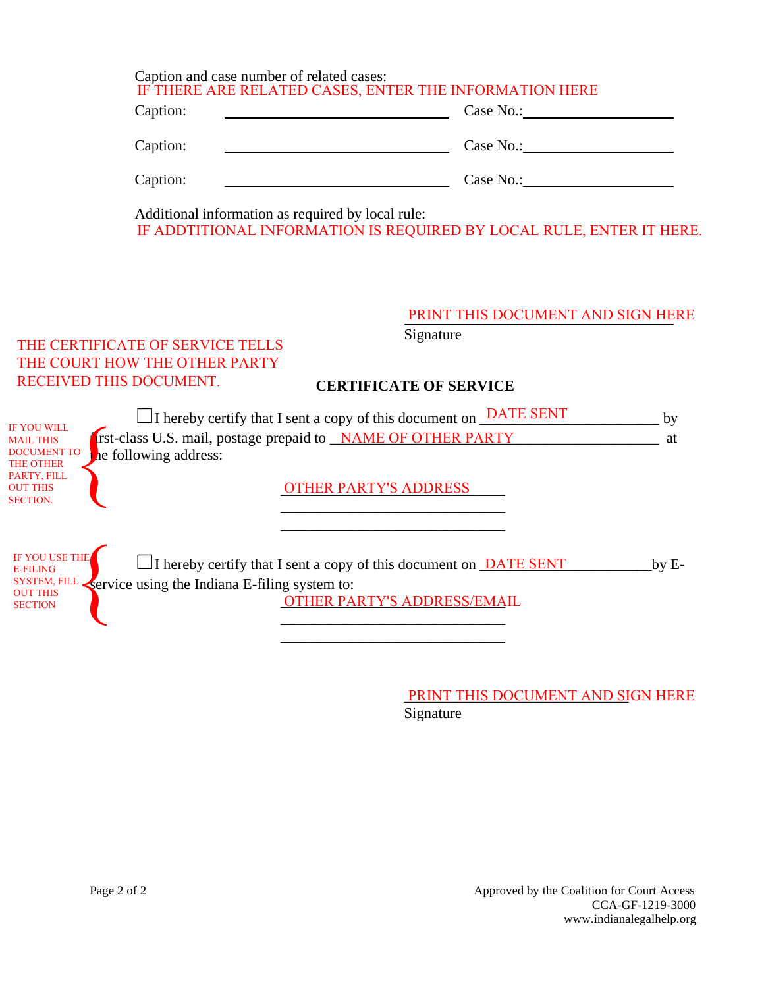| Caption and case number of related cases: | IF THERE ARE RELATED CASES, ENTER THE INFORMATION HERE |
|-------------------------------------------|--------------------------------------------------------|
| Caption:                                  | Case No.:                                              |
| Caption:                                  | Case No.:                                              |
| Caption:                                  | Case No.:                                              |

Additional information as required by local rule: IF ADDTITIONAL INFORMATION IS REQUIRED BY LOCAL RULE, ENTER IT HERE.

#### PRINT THIS DOCUMENT AND SIGN HERE

Signature

## THE CERTIFICATE OF SERVICE TELLS THE COURT HOW THE OTHER PARTY RECEIVED THIS DOCUMENT.

#### **CERTIFICATE OF SERVICE**

|                                                                                  | $\Box$ I hereby certify that I sent a copy of this document on $\Box$ DATE SENT                                                               | by      |
|----------------------------------------------------------------------------------|-----------------------------------------------------------------------------------------------------------------------------------------------|---------|
| <b>IF YOU WILL</b><br><b>MAIL THIS</b><br><b>DOCUMENT TO</b><br><b>THE OTHER</b> | rst-class U.S. mail, postage prepaid to <b>NAME OF OTHER PARTY</b><br>he following address:                                                   | at      |
| PARTY, FILL<br><b>OUT THIS</b><br><b>SECTION.</b>                                | <b>OTHER PARTY'S ADDRESS</b>                                                                                                                  |         |
| IF YOU USE THE<br><b>E-FILING</b>                                                | $\Box$ I hereby certify that I sent a copy of this document on <b>DATE SENT</b><br>SYSTEM, FILL Service using the Indiana E-filing system to: | $by E-$ |
| <b>OUT THIS</b><br><b>SECTION</b>                                                | OTHER PARTY'S ADDRESS/EMAIL                                                                                                                   |         |

\_\_\_\_\_\_\_\_\_\_\_\_\_\_\_\_\_\_\_\_\_\_\_\_\_\_\_\_\_\_

PRINT THIS DOCUMENT AND SIGN HERE Signature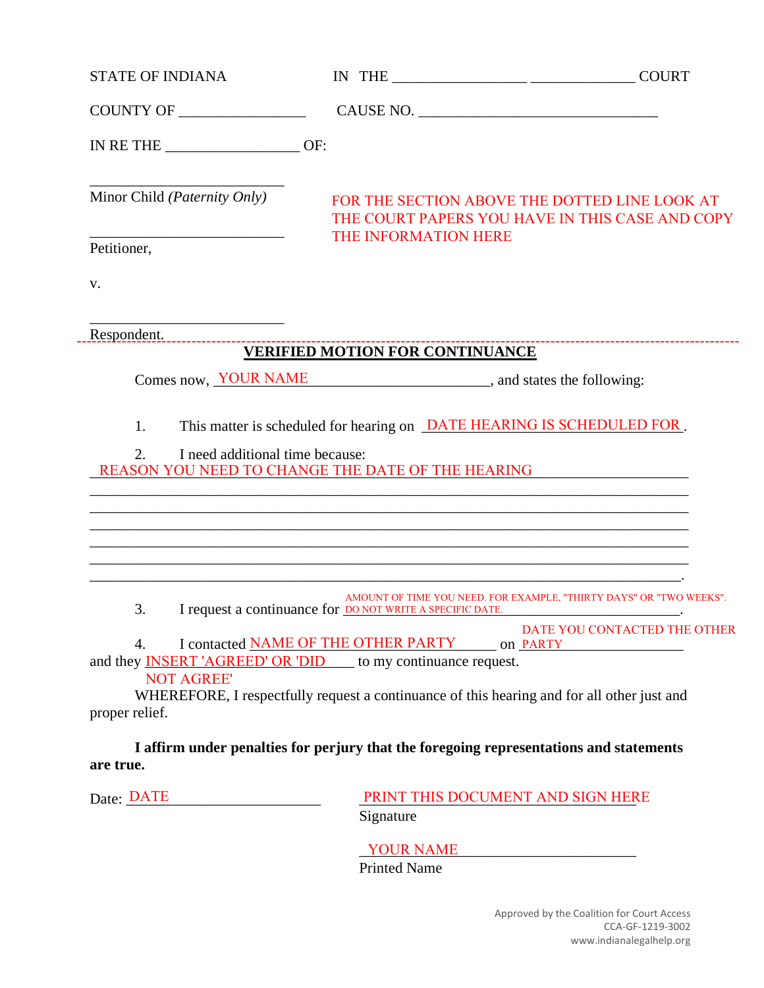| <b>STATE OF INDIANA</b>                               |                                                                                                                                                                                                                                                                                                            |                                                                                                  |
|-------------------------------------------------------|------------------------------------------------------------------------------------------------------------------------------------------------------------------------------------------------------------------------------------------------------------------------------------------------------------|--------------------------------------------------------------------------------------------------|
|                                                       |                                                                                                                                                                                                                                                                                                            |                                                                                                  |
| IN RETHE $\_\_\_\_\_\_\_\_\_\_\_$ OF:                 |                                                                                                                                                                                                                                                                                                            |                                                                                                  |
| Minor Child ( <i>Paternity Only</i> )                 |                                                                                                                                                                                                                                                                                                            | FOR THE SECTION ABOVE THE DOTTED LINE LOOK AT<br>THE COURT PAPERS YOU HAVE IN THIS CASE AND COPY |
| Petitioner,                                           | THE INFORMATION HERE                                                                                                                                                                                                                                                                                       |                                                                                                  |
| V.                                                    |                                                                                                                                                                                                                                                                                                            |                                                                                                  |
|                                                       |                                                                                                                                                                                                                                                                                                            |                                                                                                  |
|                                                       | <b>VERIFIED MOTION FOR CONTINUANCE</b>                                                                                                                                                                                                                                                                     | --------------------------------------                                                           |
|                                                       | Comes now, <b>YOUR NAME</b> , and states the following:                                                                                                                                                                                                                                                    |                                                                                                  |
| 1.<br>I need additional time because:<br>2.           | This matter is scheduled for hearing on <b>DATE HEARING IS SCHEDULED FOR</b> .<br>REASON YOU NEED TO CHANGE THE DATE OF THE HEARING<br>,我们也不会有什么。""我们的人,我们也不会有什么?""我们的人,我们也不会有什么?""我们的人,我们也不会有什么?""我们的人,我们也不会有什么?""我们的人                                                                                    |                                                                                                  |
| 3.                                                    | I request a continuance for <b>DO NOT WRITE A SPECIFIC DATE</b> .                                                                                                                                                                                                                                          | AMOUNT OF TIME YOU NEED. FOR EXAMPLE, "THIRTY DAYS" OR "TWO WEEKS".                              |
| 4.<br><b>NOT AGREE</b><br>proper relief.<br>are true. | I contacted NAME OF THE OTHER PARTY on PARTY<br>and they <b>INSERT</b> 'AGREED' OR 'DID to my continuance request.<br>WHEREFORE, I respectfully request a continuance of this hearing and for all other just and<br>I affirm under penalties for perjury that the foregoing representations and statements | DATE YOU CONTACTED THE OTHER                                                                     |
| Date: DATE                                            | Signature                                                                                                                                                                                                                                                                                                  | PRINT THIS DOCUMENT AND SIGN HERE                                                                |
|                                                       |                                                                                                                                                                                                                                                                                                            |                                                                                                  |

YOUR NAME

Printed Name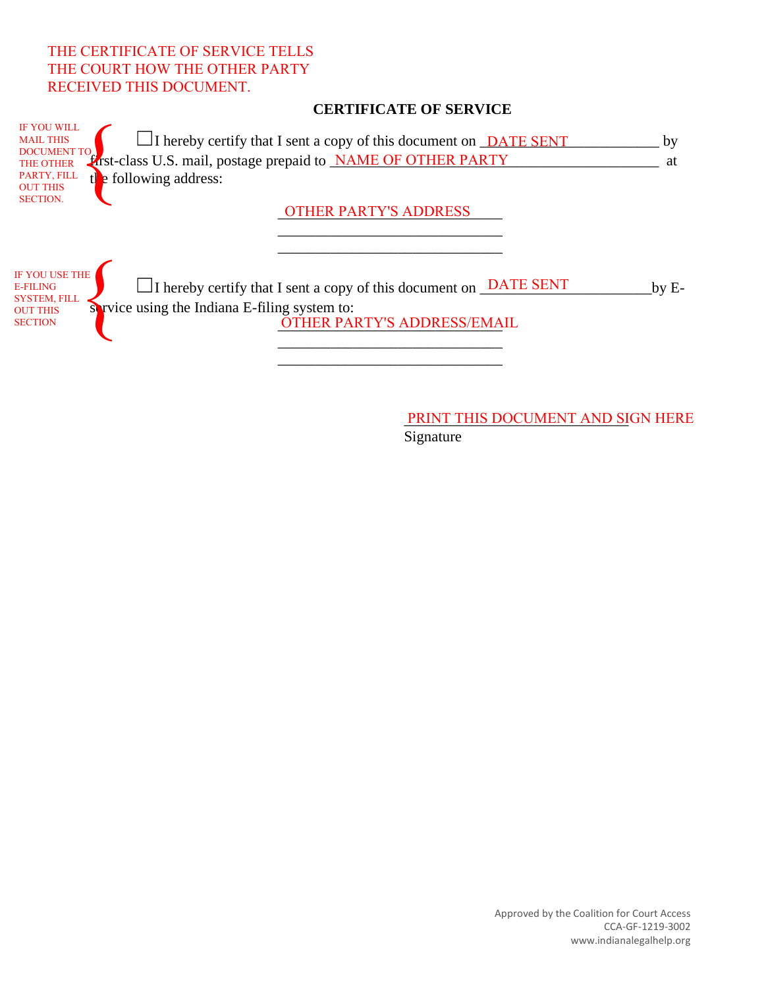## THE CERTIFICATE OF SERVICE TELLS THE COURT HOW THE OTHER PARTY RECEIVED THIS DOCUMENT.

IF YOU USE THE E-FILING SYSTEM, FILL OUT THIS **SECTION** 

### **CERTIFICATE OF SERVICE**

| <b>IF YOU WILL</b><br><b>MAIL THIS</b><br>$\Box$ I hereby certify that I sent a copy of this document on $\Box$ DATE SENT<br><b>DOCUMENT TO</b><br><b>Erst-class U.S. mail, postage prepaid to NAME OF OTHER PARTY</b><br>THE OTHER<br>PARTY, FILL<br>$t\mathbf{e}$ following address:<br><b>OUT THIS</b> | hv<br>at |
|-----------------------------------------------------------------------------------------------------------------------------------------------------------------------------------------------------------------------------------------------------------------------------------------------------------|----------|
| <b>SECTION.</b><br><b>OTHER PARTY'S ADDRESS</b>                                                                                                                                                                                                                                                           |          |

 $\Box$  I hereby certify that I sent a copy of this document on  $\Box$ **ATE SENT** by Eservice using the Indiana E-filing system to: DATE SENT THE SPITY

\_\_\_\_\_\_\_\_\_\_\_\_\_\_\_\_\_\_\_\_\_\_\_\_\_\_\_\_\_\_ \_\_\_\_\_\_\_\_\_\_\_\_\_\_\_\_\_\_\_\_\_\_\_\_\_\_\_\_\_\_

OTHER PARTY'S ADDRESS/EMA \_\_\_\_\_\_\_\_\_\_\_\_\_\_\_\_\_\_\_\_\_\_\_\_\_\_\_\_\_\_ OTHER PARTY'S ADDRESS/EMAIL

\_\_\_\_\_\_\_\_\_\_\_\_\_\_\_\_\_\_\_\_\_\_\_\_\_\_\_\_\_\_

PRINT THIS DOCUMENT AND SIGN HERE Signature